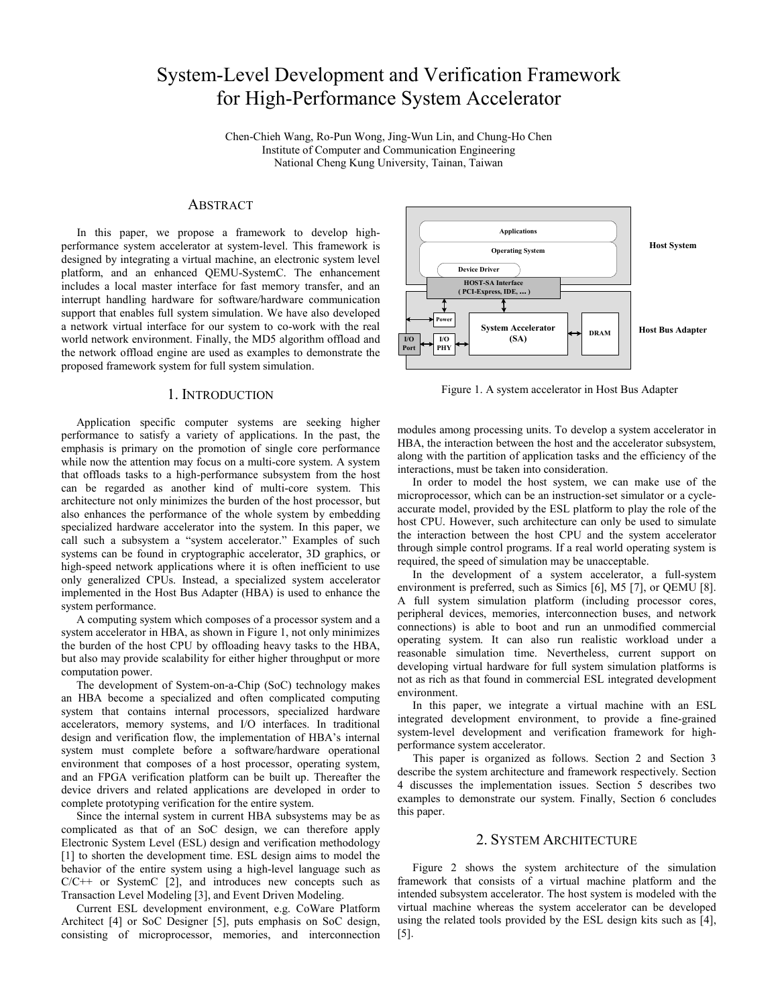# System-Level Development and Verification Framework for High-Performance System Accelerator

Chen-Chieh Wang, Ro-Pun Wong, Jing-Wun Lin, and Chung-Ho Chen Institute of Computer and Communication Engineering National Cheng Kung University, Tainan, Taiwan

## ABSTRACT

In this paper, we propose a framework to develop highperformance system accelerator at system-level. This framework is designed by integrating a virtual machine, an electronic system level platform, and an enhanced QEMU-SystemC. The enhancement includes a local master interface for fast memory transfer, and an interrupt handling hardware for software/hardware communication support that enables full system simulation. We have also developed a network virtual interface for our system to co-work with the real world network environment. Finally, the MD5 algorithm offload and the network offload engine are used as examples to demonstrate the proposed framework system for full system simulation.

#### 1. INTRODUCTION

Application specific computer systems are seeking higher performance to satisfy a variety of applications. In the past, the emphasis is primary on the promotion of single core performance while now the attention may focus on a multi-core system. A system that offloads tasks to a high-performance subsystem from the host can be regarded as another kind of multi-core system. This architecture not only minimizes the burden of the host processor, but also enhances the performance of the whole system by embedding specialized hardware accelerator into the system. In this paper, we call such a subsystem a "system accelerator." Examples of such systems can be found in cryptographic accelerator, 3D graphics, or high-speed network applications where it is often inefficient to use only generalized CPUs. Instead, a specialized system accelerator implemented in the Host Bus Adapter (HBA) is used to enhance the system performance.

A computing system which composes of a processor system and a system accelerator in HBA, as shown in Figure 1, not only minimizes the burden of the host CPU by offloading heavy tasks to the HBA, but also may provide scalability for either higher throughput or more computation power.

The development of System-on-a-Chip (SoC) technology makes an HBA become a specialized and often complicated computing system that contains internal processors, specialized hardware accelerators, memory systems, and I/O interfaces. In traditional design and verification flow, the implementation of HBA's internal system must complete before a software/hardware operational environment that composes of a host processor, operating system, and an FPGA verification platform can be built up. Thereafter the device drivers and related applications are developed in order to complete prototyping verification for the entire system.

Since the internal system in current HBA subsystems may be as complicated as that of an SoC design, we can therefore apply Electronic System Level (ESL) design and verification methodology [1] to shorten the development time. ESL design aims to model the behavior of the entire system using a high-level language such as  $C/C++$  or SystemC [2], and introduces new concepts such as Transaction Level Modeling [3], and Event Driven Modeling.

Current ESL development environment, e.g. CoWare Platform Architect [4] or SoC Designer [5], puts emphasis on SoC design, consisting of microprocessor, memories, and interconnection



Figure 1. A system accelerator in Host Bus Adapter

modules among processing units. To develop a system accelerator in HBA, the interaction between the host and the accelerator subsystem, along with the partition of application tasks and the efficiency of the interactions, must be taken into consideration.

In order to model the host system, we can make use of the microprocessor, which can be an instruction-set simulator or a cycleaccurate model, provided by the ESL platform to play the role of the host CPU. However, such architecture can only be used to simulate the interaction between the host CPU and the system accelerator through simple control programs. If a real world operating system is required, the speed of simulation may be unacceptable.

In the development of a system accelerator, a full-system environment is preferred, such as Simics [6], M5 [7], or QEMU [8]. A full system simulation platform (including processor cores, peripheral devices, memories, interconnection buses, and network connections) is able to boot and run an unmodified commercial operating system. It can also run realistic workload under a reasonable simulation time. Nevertheless, current support on developing virtual hardware for full system simulation platforms is not as rich as that found in commercial ESL integrated development environment.

In this paper, we integrate a virtual machine with an ESL integrated development environment, to provide a fine-grained system-level development and verification framework for highperformance system accelerator.

This paper is organized as follows. Section 2 and Section 3 describe the system architecture and framework respectively. Section 4 discusses the implementation issues. Section 5 describes two examples to demonstrate our system. Finally, Section 6 concludes this paper.

## 2. SYSTEM ARCHITECTURE

Figure 2 shows the system architecture of the simulation framework that consists of a virtual machine platform and the intended subsystem accelerator. The host system is modeled with the virtual machine whereas the system accelerator can be developed using the related tools provided by the ESL design kits such as [4], [5].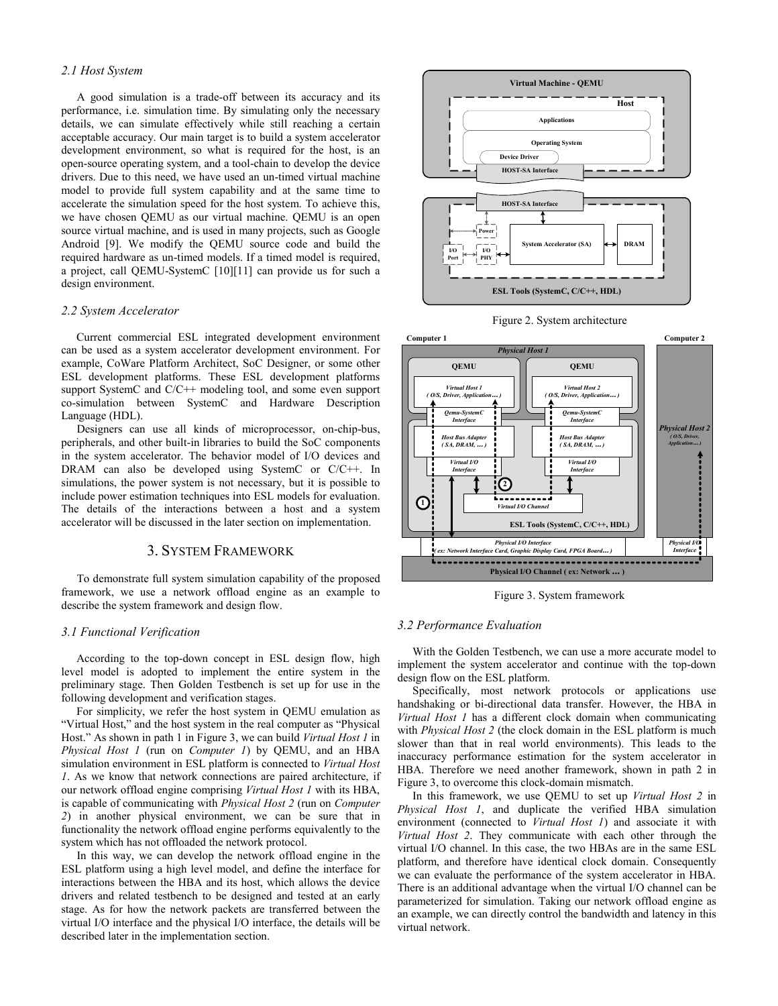### *2.1 Host System*

A good simulation is a trade-off between its accuracy and its performance, i.e. simulation time. By simulating only the necessary details, we can simulate effectively while still reaching a certain acceptable accuracy. Our main target is to build a system accelerator development environment, so what is required for the host, is an open-source operating system, and a tool-chain to develop the device drivers. Due to this need, we have used an un-timed virtual machine model to provide full system capability and at the same time to accelerate the simulation speed for the host system. To achieve this, we have chosen QEMU as our virtual machine. QEMU is an open source virtual machine, and is used in many projects, such as Google Android [9]. We modify the QEMU source code and build the required hardware as un-timed models. If a timed model is required, a project, call QEMU-SystemC [10][11] can provide us for such a design environment.

#### *2.2 System Accelerator*

Current commercial ESL integrated development environment can be used as a system accelerator development environment. For example, CoWare Platform Architect, SoC Designer, or some other ESL development platforms. These ESL development platforms support SystemC and C/C++ modeling tool, and some even support co-simulation between SystemC and Hardware Description Language (HDL).

Designers can use all kinds of microprocessor, on-chip-bus, peripherals, and other built-in libraries to build the SoC components in the system accelerator. The behavior model of I/O devices and DRAM can also be developed using SystemC or C/C++. In simulations, the power system is not necessary, but it is possible to include power estimation techniques into ESL models for evaluation. The details of the interactions between a host and a system accelerator will be discussed in the later section on implementation.

## 3. SYSTEM FRAMEWORK

To demonstrate full system simulation capability of the proposed framework, we use a network offload engine as an example to describe the system framework and design flow.

#### *3.1 Functional Verification*

According to the top-down concept in ESL design flow, high level model is adopted to implement the entire system in the preliminary stage. Then Golden Testbench is set up for use in the following development and verification stages.

For simplicity, we refer the host system in QEMU emulation as "Virtual Host," and the host system in the real computer as "Physical Host." As shown in path 1 in Figure 3, we can build *Virtual Host 1* in *Physical Host 1* (run on *Computer 1*) by QEMU, and an HBA simulation environment in ESL platform is connected to *Virtual Host 1*. As we know that network connections are paired architecture, if our network offload engine comprising *Virtual Host 1* with its HBA, is capable of communicating with *Physical Host 2* (run on *Computer 2*) in another physical environment, we can be sure that in functionality the network offload engine performs equivalently to the system which has not offloaded the network protocol.

In this way, we can develop the network offload engine in the ESL platform using a high level model, and define the interface for interactions between the HBA and its host, which allows the device drivers and related testbench to be designed and tested at an early stage. As for how the network packets are transferred between the virtual I/O interface and the physical I/O interface, the details will be described later in the implementation section.







Figure 3. System framework

#### *3.2 Performance Evaluation*

With the Golden Testbench, we can use a more accurate model to implement the system accelerator and continue with the top-down design flow on the ESL platform.

Specifically, most network protocols or applications use handshaking or bi-directional data transfer. However, the HBA in *Virtual Host 1* has a different clock domain when communicating with *Physical Host 2* (the clock domain in the ESL platform is much slower than that in real world environments). This leads to the inaccuracy performance estimation for the system accelerator in HBA. Therefore we need another framework, shown in path 2 in Figure 3, to overcome this clock-domain mismatch.

In this framework, we use QEMU to set up *Virtual Host 2* in *Physical Host 1*, and duplicate the verified HBA simulation environment (connected to *Virtual Host 1*) and associate it with *Virtual Host 2*. They communicate with each other through the virtual I/O channel. In this case, the two HBAs are in the same ESL platform, and therefore have identical clock domain. Consequently we can evaluate the performance of the system accelerator in HBA. There is an additional advantage when the virtual I/O channel can be parameterized for simulation. Taking our network offload engine as an example, we can directly control the bandwidth and latency in this virtual network.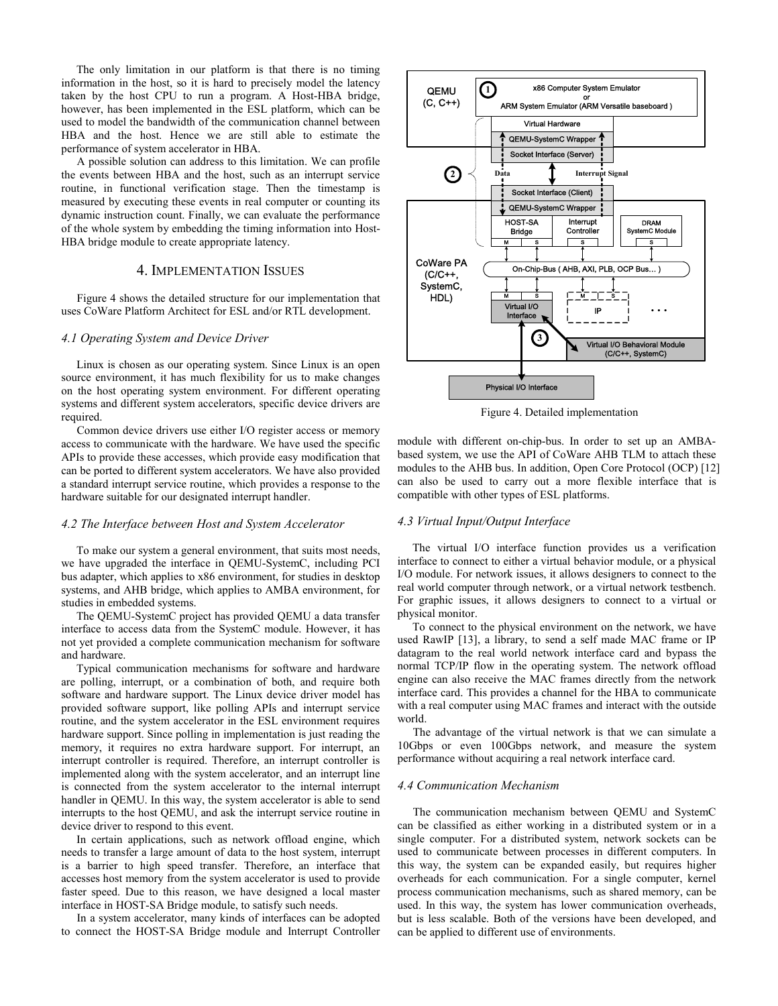The only limitation in our platform is that there is no timing information in the host, so it is hard to precisely model the latency taken by the host CPU to run a program. A Host-HBA bridge, however, has been implemented in the ESL platform, which can be used to model the bandwidth of the communication channel between HBA and the host. Hence we are still able to estimate the performance of system accelerator in HBA.

A possible solution can address to this limitation. We can profile the events between HBA and the host, such as an interrupt service routine, in functional verification stage. Then the timestamp is measured by executing these events in real computer or counting its dynamic instruction count. Finally, we can evaluate the performance of the whole system by embedding the timing information into Host-HBA bridge module to create appropriate latency.

## 4. IMPLEMENTATION ISSUES

Figure 4 shows the detailed structure for our implementation that uses CoWare Platform Architect for ESL and/or RTL development.

#### *4.1 Operating System and Device Driver*

Linux is chosen as our operating system. Since Linux is an open source environment, it has much flexibility for us to make changes on the host operating system environment. For different operating systems and different system accelerators, specific device drivers are required.

Common device drivers use either I/O register access or memory access to communicate with the hardware. We have used the specific APIs to provide these accesses, which provide easy modification that can be ported to different system accelerators. We have also provided a standard interrupt service routine, which provides a response to the hardware suitable for our designated interrupt handler.

#### *4.2 The Interface between Host and System Accelerator*

To make our system a general environment, that suits most needs, we have upgraded the interface in QEMU-SystemC, including PCI bus adapter, which applies to x86 environment, for studies in desktop systems, and AHB bridge, which applies to AMBA environment, for studies in embedded systems.

The QEMU-SystemC project has provided QEMU a data transfer interface to access data from the SystemC module. However, it has not yet provided a complete communication mechanism for software and hardware.

Typical communication mechanisms for software and hardware are polling, interrupt, or a combination of both, and require both software and hardware support. The Linux device driver model has provided software support, like polling APIs and interrupt service routine, and the system accelerator in the ESL environment requires hardware support. Since polling in implementation is just reading the memory, it requires no extra hardware support. For interrupt, an interrupt controller is required. Therefore, an interrupt controller is implemented along with the system accelerator, and an interrupt line is connected from the system accelerator to the internal interrupt handler in QEMU. In this way, the system accelerator is able to send interrupts to the host QEMU, and ask the interrupt service routine in device driver to respond to this event.

In certain applications, such as network offload engine, which needs to transfer a large amount of data to the host system, interrupt is a barrier to high speed transfer. Therefore, an interface that accesses host memory from the system accelerator is used to provide faster speed. Due to this reason, we have designed a local master interface in HOST-SA Bridge module, to satisfy such needs.

In a system accelerator, many kinds of interfaces can be adopted to connect the HOST-SA Bridge module and Interrupt Controller



Figure 4. Detailed implementation

module with different on-chip-bus. In order to set up an AMBAbased system, we use the API of CoWare AHB TLM to attach these modules to the AHB bus. In addition, Open Core Protocol (OCP) [12] can also be used to carry out a more flexible interface that is compatible with other types of ESL platforms.

#### *4.3 Virtual Input/Output Interface*

The virtual I/O interface function provides us a verification interface to connect to either a virtual behavior module, or a physical I/O module. For network issues, it allows designers to connect to the real world computer through network, or a virtual network testbench. For graphic issues, it allows designers to connect to a virtual or physical monitor.

To connect to the physical environment on the network, we have used RawIP [13], a library, to send a self made MAC frame or IP datagram to the real world network interface card and bypass the normal TCP/IP flow in the operating system. The network offload engine can also receive the MAC frames directly from the network interface card. This provides a channel for the HBA to communicate with a real computer using MAC frames and interact with the outside world.

The advantage of the virtual network is that we can simulate a 10Gbps or even 100Gbps network, and measure the system performance without acquiring a real network interface card.

## *4.4 Communication Mechanism*

The communication mechanism between QEMU and SystemC can be classified as either working in a distributed system or in a single computer. For a distributed system, network sockets can be used to communicate between processes in different computers. In this way, the system can be expanded easily, but requires higher overheads for each communication. For a single computer, kernel process communication mechanisms, such as shared memory, can be used. In this way, the system has lower communication overheads, but is less scalable. Both of the versions have been developed, and can be applied to different use of environments.